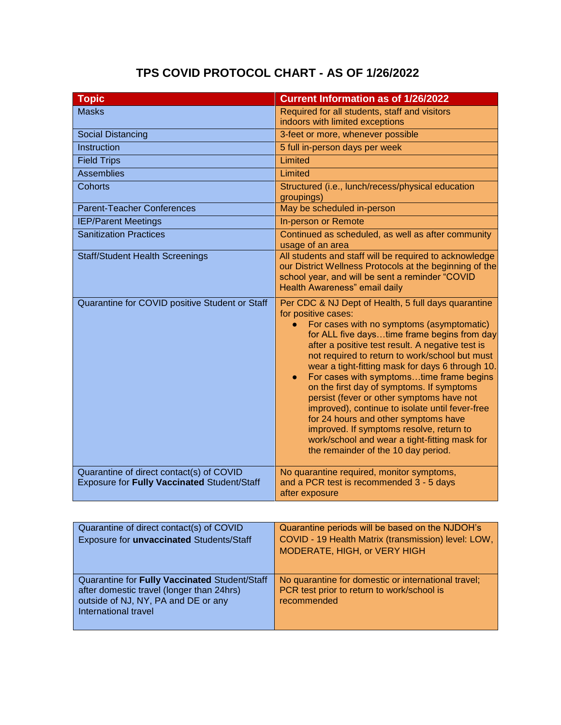## **TPS COVID PROTOCOL CHART - AS OF 1/26/2022**

| <b>Topic</b>                                                                            | <b>Current Information as of 1/26/2022</b>                                                                                                                                                                                                                                                                                                                                                                                                                                                                                                                                                                                                                                                            |
|-----------------------------------------------------------------------------------------|-------------------------------------------------------------------------------------------------------------------------------------------------------------------------------------------------------------------------------------------------------------------------------------------------------------------------------------------------------------------------------------------------------------------------------------------------------------------------------------------------------------------------------------------------------------------------------------------------------------------------------------------------------------------------------------------------------|
| <b>Masks</b>                                                                            | Required for all students, staff and visitors                                                                                                                                                                                                                                                                                                                                                                                                                                                                                                                                                                                                                                                         |
|                                                                                         | indoors with limited exceptions                                                                                                                                                                                                                                                                                                                                                                                                                                                                                                                                                                                                                                                                       |
| <b>Social Distancing</b>                                                                | 3-feet or more, whenever possible                                                                                                                                                                                                                                                                                                                                                                                                                                                                                                                                                                                                                                                                     |
| Instruction                                                                             | 5 full in-person days per week                                                                                                                                                                                                                                                                                                                                                                                                                                                                                                                                                                                                                                                                        |
| <b>Field Trips</b>                                                                      | Limited                                                                                                                                                                                                                                                                                                                                                                                                                                                                                                                                                                                                                                                                                               |
| <b>Assemblies</b>                                                                       | Limited                                                                                                                                                                                                                                                                                                                                                                                                                                                                                                                                                                                                                                                                                               |
| Cohorts                                                                                 | Structured (i.e., lunch/recess/physical education<br>groupings)                                                                                                                                                                                                                                                                                                                                                                                                                                                                                                                                                                                                                                       |
| <b>Parent-Teacher Conferences</b>                                                       | May be scheduled in-person                                                                                                                                                                                                                                                                                                                                                                                                                                                                                                                                                                                                                                                                            |
| <b>IEP/Parent Meetings</b>                                                              | In-person or Remote                                                                                                                                                                                                                                                                                                                                                                                                                                                                                                                                                                                                                                                                                   |
| <b>Sanitization Practices</b>                                                           | Continued as scheduled, as well as after community<br>usage of an area                                                                                                                                                                                                                                                                                                                                                                                                                                                                                                                                                                                                                                |
| <b>Staff/Student Health Screenings</b>                                                  | All students and staff will be required to acknowledge<br>our District Wellness Protocols at the beginning of the<br>school year, and will be sent a reminder "COVID<br>Health Awareness" email daily                                                                                                                                                                                                                                                                                                                                                                                                                                                                                                 |
| Quarantine for COVID positive Student or Staff                                          | Per CDC & NJ Dept of Health, 5 full days quarantine<br>for positive cases:<br>For cases with no symptoms (asymptomatic)<br>for ALL five daystime frame begins from day<br>after a positive test result. A negative test is<br>not required to return to work/school but must<br>wear a tight-fitting mask for days 6 through 10.<br>For cases with symptomstime frame begins<br>on the first day of symptoms. If symptoms<br>persist (fever or other symptoms have not<br>improved), continue to isolate until fever-free<br>for 24 hours and other symptoms have<br>improved. If symptoms resolve, return to<br>work/school and wear a tight-fitting mask for<br>the remainder of the 10 day period. |
| Quarantine of direct contact(s) of COVID<br>Exposure for Fully Vaccinated Student/Staff | No quarantine required, monitor symptoms,<br>and a PCR test is recommended 3 - 5 days<br>after exposure                                                                                                                                                                                                                                                                                                                                                                                                                                                                                                                                                                                               |

| Quarantine of direct contact(s) of COVID<br>Exposure for <i>unvaccinated</i> Students/Staff                                                               | Quarantine periods will be based on the NJDOH's<br>COVID - 19 Health Matrix (transmission) level: LOW,<br>MODERATE, HIGH, or VERY HIGH |
|-----------------------------------------------------------------------------------------------------------------------------------------------------------|----------------------------------------------------------------------------------------------------------------------------------------|
| Quarantine for Fully Vaccinated Student/Staff<br>after domestic travel (longer than 24hrs)<br>outside of NJ, NY, PA and DE or any<br>International travel | No quarantine for domestic or international travel;<br>PCR test prior to return to work/school is<br>recommended                       |